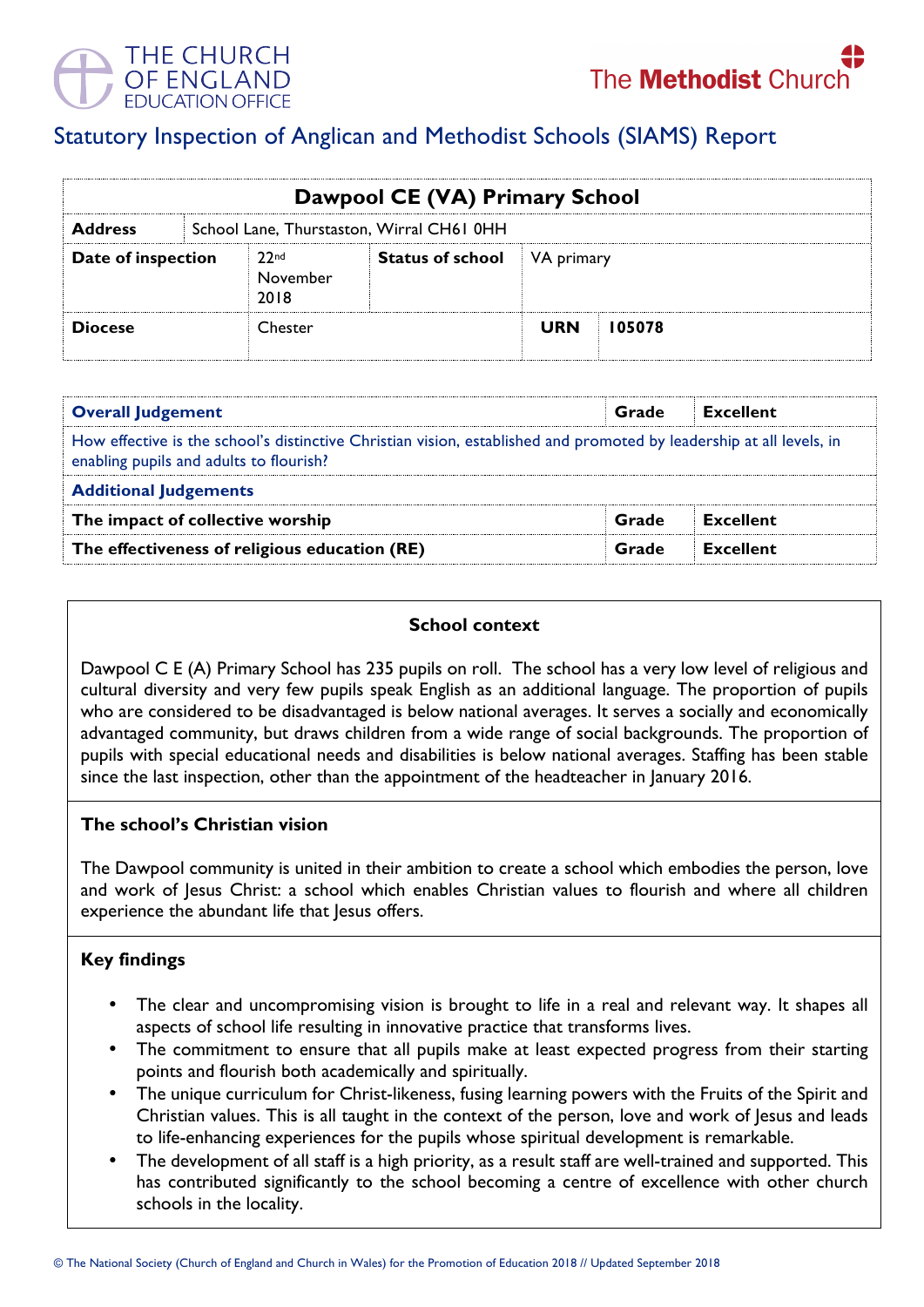

# Statutory Inspection of Anglican and Methodist Schools (SIAMS) Report

| Dawpool CE (VA) Primary School |                                           |                                      |                                    |            |        |  |  |
|--------------------------------|-------------------------------------------|--------------------------------------|------------------------------------|------------|--------|--|--|
| <b>Address</b>                 | School Lane, Thurstaston, Wirral CH61 0HH |                                      |                                    |            |        |  |  |
| Date of inspection             |                                           | 22 <sub>nd</sub><br>November<br>2018 | <b>Status of school</b> VA primary |            |        |  |  |
| <b>Diocese</b>                 |                                           | Chester                              |                                    | <b>URN</b> | 105078 |  |  |

| <b>Overall Judgement</b>                                                                                                                                        | Grade | Excellent        |  |  |  |
|-----------------------------------------------------------------------------------------------------------------------------------------------------------------|-------|------------------|--|--|--|
| How effective is the school's distinctive Christian vision, established and promoted by leadership at all levels, in<br>enabling pupils and adults to flourish? |       |                  |  |  |  |
| <b>Additional Judgements</b>                                                                                                                                    |       |                  |  |  |  |
| The impact of collective worship                                                                                                                                | Grade | <b>Excellent</b> |  |  |  |
| The effectiveness of religious education (RE)                                                                                                                   | Grade | Excellent        |  |  |  |

## **School context**

Dawpool C E (A) Primary School has 235 pupils on roll. The school has a very low level of religious and cultural diversity and very few pupils speak English as an additional language. The proportion of pupils who are considered to be disadvantaged is below national averages. It serves a socially and economically advantaged community, but draws children from a wide range of social backgrounds. The proportion of pupils with special educational needs and disabilities is below national averages. Staffing has been stable since the last inspection, other than the appointment of the headteacher in January 2016.

#### **The school's Christian vision**

The Dawpool community is united in their ambition to create a school which embodies the person, love and work of Jesus Christ: a school which enables Christian values to flourish and where all children experience the abundant life that Jesus offers.

## **Key findings**

- The clear and uncompromising vision is brought to life in a real and relevant way. It shapes all aspects of school life resulting in innovative practice that transforms lives.
- The commitment to ensure that all pupils make at least expected progress from their starting points and flourish both academically and spiritually.
- The unique curriculum for Christ-likeness, fusing learning powers with the Fruits of the Spirit and Christian values. This is all taught in the context of the person, love and work of Jesus and leads to life-enhancing experiences for the pupils whose spiritual development is remarkable.
- The development of all staff is a high priority, as a result staff are well-trained and supported. This has contributed significantly to the school becoming a centre of excellence with other church schools in the locality.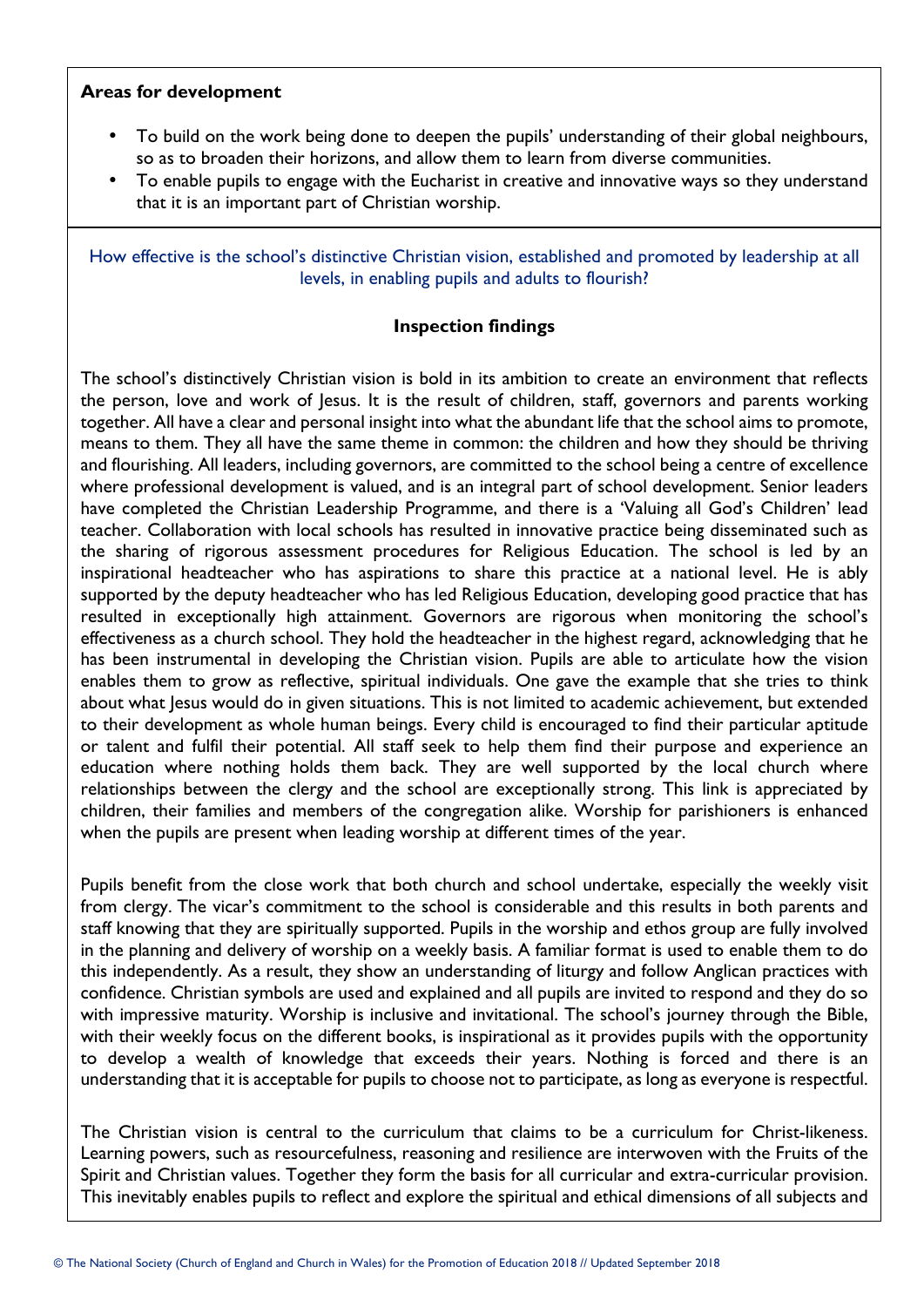### **Areas for development**

- To build on the work being done to deepen the pupils' understanding of their global neighbours, so as to broaden their horizons, and allow them to learn from diverse communities.
- To enable pupils to engage with the Eucharist in creative and innovative ways so they understand that it is an important part of Christian worship.

How effective is the school's distinctive Christian vision, established and promoted by leadership at all levels, in enabling pupils and adults to flourish?

#### **Inspection findings**

The school's distinctively Christian vision is bold in its ambition to create an environment that reflects the person, love and work of Jesus. It is the result of children, staff, governors and parents working together. All have a clear and personal insight into what the abundant life that the school aims to promote, means to them. They all have the same theme in common: the children and how they should be thriving and flourishing. All leaders, including governors, are committed to the school being a centre of excellence where professional development is valued, and is an integral part of school development. Senior leaders have completed the Christian Leadership Programme, and there is a 'Valuing all God's Children' lead teacher. Collaboration with local schools has resulted in innovative practice being disseminated such as the sharing of rigorous assessment procedures for Religious Education. The school is led by an inspirational headteacher who has aspirations to share this practice at a national level. He is ably supported by the deputy headteacher who has led Religious Education, developing good practice that has resulted in exceptionally high attainment. Governors are rigorous when monitoring the school's effectiveness as a church school. They hold the headteacher in the highest regard, acknowledging that he has been instrumental in developing the Christian vision. Pupils are able to articulate how the vision enables them to grow as reflective, spiritual individuals. One gave the example that she tries to think about what Jesus would do in given situations. This is not limited to academic achievement, but extended to their development as whole human beings. Every child is encouraged to find their particular aptitude or talent and fulfil their potential. All staff seek to help them find their purpose and experience an education where nothing holds them back. They are well supported by the local church where relationships between the clergy and the school are exceptionally strong. This link is appreciated by children, their families and members of the congregation alike. Worship for parishioners is enhanced when the pupils are present when leading worship at different times of the year.

Pupils benefit from the close work that both church and school undertake, especially the weekly visit from clergy. The vicar's commitment to the school is considerable and this results in both parents and staff knowing that they are spiritually supported. Pupils in the worship and ethos group are fully involved in the planning and delivery of worship on a weekly basis. A familiar format is used to enable them to do this independently. As a result, they show an understanding of liturgy and follow Anglican practices with confidence. Christian symbols are used and explained and all pupils are invited to respond and they do so with impressive maturity. Worship is inclusive and invitational. The school's journey through the Bible, with their weekly focus on the different books, is inspirational as it provides pupils with the opportunity to develop a wealth of knowledge that exceeds their years. Nothing is forced and there is an understanding that it is acceptable for pupils to choose not to participate, as long as everyone is respectful.

The Christian vision is central to the curriculum that claims to be a curriculum for Christ-likeness. Learning powers, such as resourcefulness, reasoning and resilience are interwoven with the Fruits of the Spirit and Christian values. Together they form the basis for all curricular and extra-curricular provision. This inevitably enables pupils to reflect and explore the spiritual and ethical dimensions of all subjects and